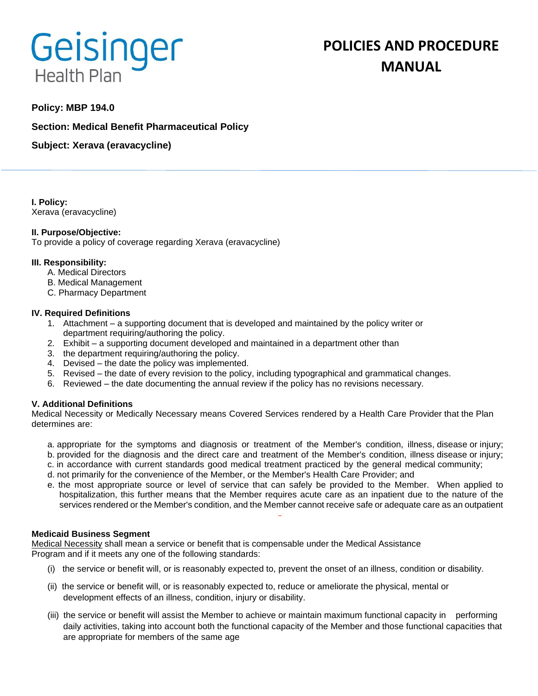# Geisinger **Health Plan**

# **POLICIES AND PROCEDURE MANUAL**

# **Policy: MBP 194.0**

**Section: Medical Benefit Pharmaceutical Policy**

**Subject: Xerava (eravacycline)**

**I. Policy:** Xerava (eravacycline)

# **II. Purpose/Objective:**

To provide a policy of coverage regarding Xerava (eravacycline)

#### **III. Responsibility:**

- A. Medical Directors
- B. Medical Management
- C. Pharmacy Department

#### **IV. Required Definitions**

- 1. Attachment a supporting document that is developed and maintained by the policy writer or department requiring/authoring the policy.
- 2. Exhibit a supporting document developed and maintained in a department other than
- 3. the department requiring/authoring the policy.
- 4. Devised the date the policy was implemented.
- 5. Revised the date of every revision to the policy, including typographical and grammatical changes.
- 6. Reviewed the date documenting the annual review if the policy has no revisions necessary.

# **V. Additional Definitions**

Medical Necessity or Medically Necessary means Covered Services rendered by a Health Care Provider that the Plan determines are:

- a. appropriate for the symptoms and diagnosis or treatment of the Member's condition, illness, disease or injury; b. provided for the diagnosis and the direct care and treatment of the Member's condition, illness disease or injury;
- c. in accordance with current standards good medical treatment practiced by the general medical community;
- d. not primarily for the convenience of the Member, or the Member's Health Care Provider; and
- e. the most appropriate source or level of service that can safely be provided to the Member. When applied to hospitalization, this further means that the Member requires acute care as an inpatient due to the nature of the services rendered or the Member's condition, and the Member cannot receive safe or adequate care as an outpatient

#### **Medicaid Business Segment**

Medical Necessity shall mean a service or benefit that is compensable under the Medical Assistance Program and if it meets any one of the following standards:

- (i) the service or benefit will, or is reasonably expected to, prevent the onset of an illness, condition or disability.
- (ii) the service or benefit will, or is reasonably expected to, reduce or ameliorate the physical, mental or development effects of an illness, condition, injury or disability.
- (iii) the service or benefit will assist the Member to achieve or maintain maximum functional capacity in performing daily activities, taking into account both the functional capacity of the Member and those functional capacities that are appropriate for members of the same age